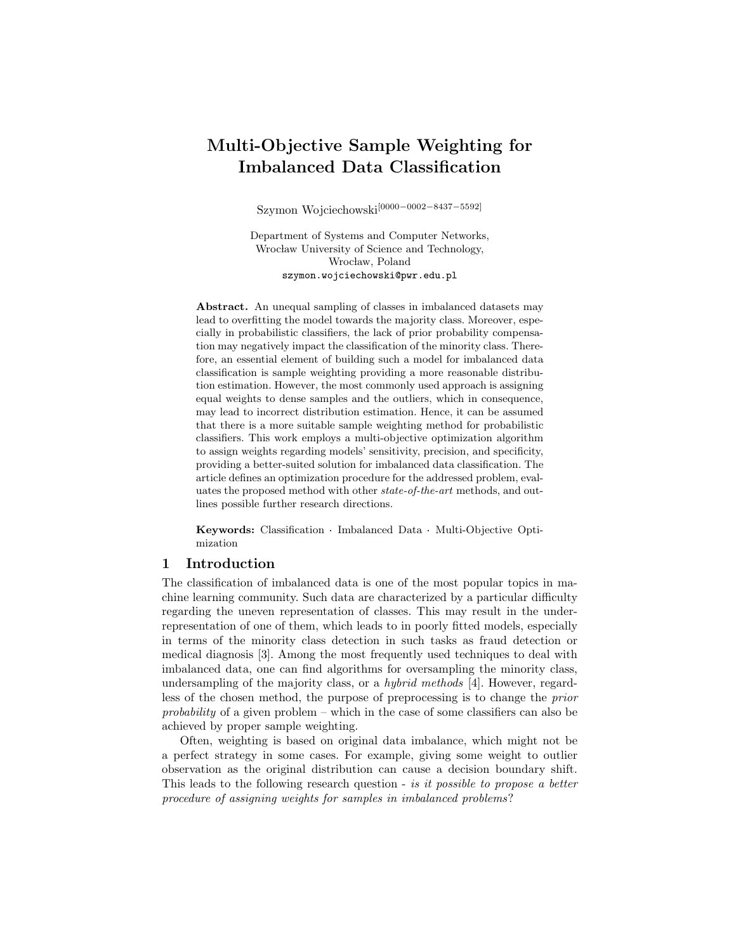# Multi-Objective Sample Weighting for Imbalanced Data Classification

Szymon Wojciechowski[0000−0002−8437−5592]

Department of Systems and Computer Networks, Wrocław University of Science and Technology, Wrocław, Poland szymon.wojciechowski@pwr.edu.pl

Abstract. An unequal sampling of classes in imbalanced datasets may lead to overfitting the model towards the majority class. Moreover, especially in probabilistic classifiers, the lack of prior probability compensation may negatively impact the classification of the minority class. Therefore, an essential element of building such a model for imbalanced data classification is sample weighting providing a more reasonable distribution estimation. However, the most commonly used approach is assigning equal weights to dense samples and the outliers, which in consequence, may lead to incorrect distribution estimation. Hence, it can be assumed that there is a more suitable sample weighting method for probabilistic classifiers. This work employs a multi-objective optimization algorithm to assign weights regarding models' sensitivity, precision, and specificity, providing a better-suited solution for imbalanced data classification. The article defines an optimization procedure for the addressed problem, evaluates the proposed method with other state-of-the-art methods, and outlines possible further research directions.

Keywords: Classification · Imbalanced Data · Multi-Objective Optimization

# 1 Introduction

The classification of imbalanced data is one of the most popular topics in machine learning community. Such data are characterized by a particular difficulty regarding the uneven representation of classes. This may result in the underrepresentation of one of them, which leads to in poorly fitted models, especially in terms of the minority class detection in such tasks as fraud detection or medical diagnosis [3]. Among the most frequently used techniques to deal with imbalanced data, one can find algorithms for oversampling the minority class, undersampling of the majority class, or a *hybrid methods* [4]. However, regardless of the chosen method, the purpose of preprocessing is to change the prior probability of a given problem – which in the case of some classifiers can also be achieved by proper sample weighting.

Often, weighting is based on original data imbalance, which might not be a perfect strategy in some cases. For example, giving some weight to outlier observation as the original distribution can cause a decision boundary shift. This leads to the following research question - is it possible to propose a better procedure of assigning weights for samples in imbalanced problems?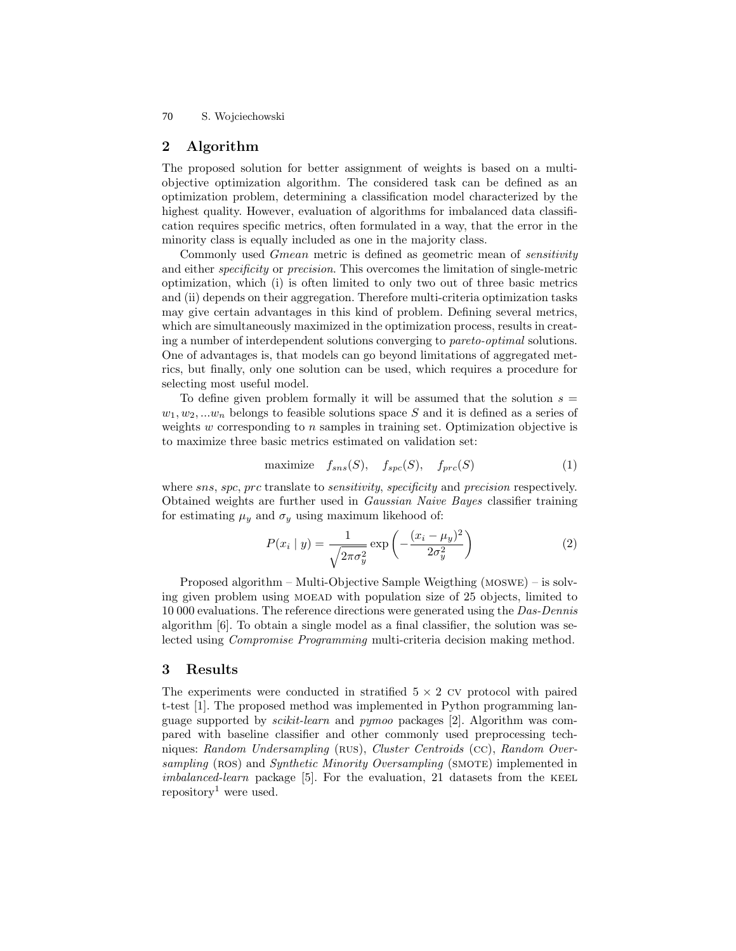#### S. Wojciechowski 70

#### 2 Algorithm

The proposed solution for better assignment of weights is based on a multiobjective optimization algorithm. The considered task can be defined as an optimization problem, determining a classification model characterized by the highest quality. However, evaluation of algorithms for imbalanced data classification requires specific metrics, often formulated in a way, that the error in the minority class is equally included as one in the majority class.

Commonly used Gmean metric is defined as geometric mean of sensitivity and either specificity or precision. This overcomes the limitation of single-metric optimization, which (i) is often limited to only two out of three basic metrics and (ii) depends on their aggregation. Therefore multi-criteria optimization tasks may give certain advantages in this kind of problem. Defining several metrics, which are simultaneously maximized in the optimization process, results in creating a number of interdependent solutions converging to pareto-optimal solutions. One of advantages is, that models can go beyond limitations of aggregated metrics, but finally, only one solution can be used, which requires a procedure for selecting most useful model.

To define given problem formally it will be assumed that the solution  $s =$  $w_1, w_2, ... w_n$  belongs to feasible solutions space S and it is defined as a series of weights w corresponding to  $n$  samples in training set. Optimization objective is to maximize three basic metrics estimated on validation set:

$$
\text{maximize} \quad f_{sns}(S), \quad f_{spc}(S), \quad f_{prc}(S) \tag{1}
$$

where sns, spc, prc translate to sensitivity, specificity and precision respectively. Obtained weights are further used in Gaussian Naive Bayes classifier training for estimating  $\mu_y$  and  $\sigma_y$  using maximum likehood of:

$$
P(x_i \mid y) = \frac{1}{\sqrt{2\pi\sigma_y^2}} \exp\left(-\frac{(x_i - \mu_y)^2}{2\sigma_y^2}\right) \tag{2}
$$

Proposed algorithm – Multi-Objective Sample Weigthing (moswe) – is solving given problem using moead with population size of 25 objects, limited to 10 000 evaluations. The reference directions were generated using the Das-Dennis algorithm [6]. To obtain a single model as a final classifier, the solution was selected using Compromise Programming multi-criteria decision making method.

### 3 Results

The experiments were conducted in stratified  $5 \times 2$  CV protocol with paired t-test [1]. The proposed method was implemented in Python programming language supported by scikit-learn and pymoo packages [2]. Algorithm was compared with baseline classifier and other commonly used preprocessing techniques: Random Undersampling (RUS), Cluster Centroids (CC), Random Oversampling (ROS) and Synthetic Minority Oversampling (SMOTE) implemented in  $imbalanced\text{-}learn$  package [5]. For the evaluation, 21 datasets from the KEEL repository<sup>1</sup> were used.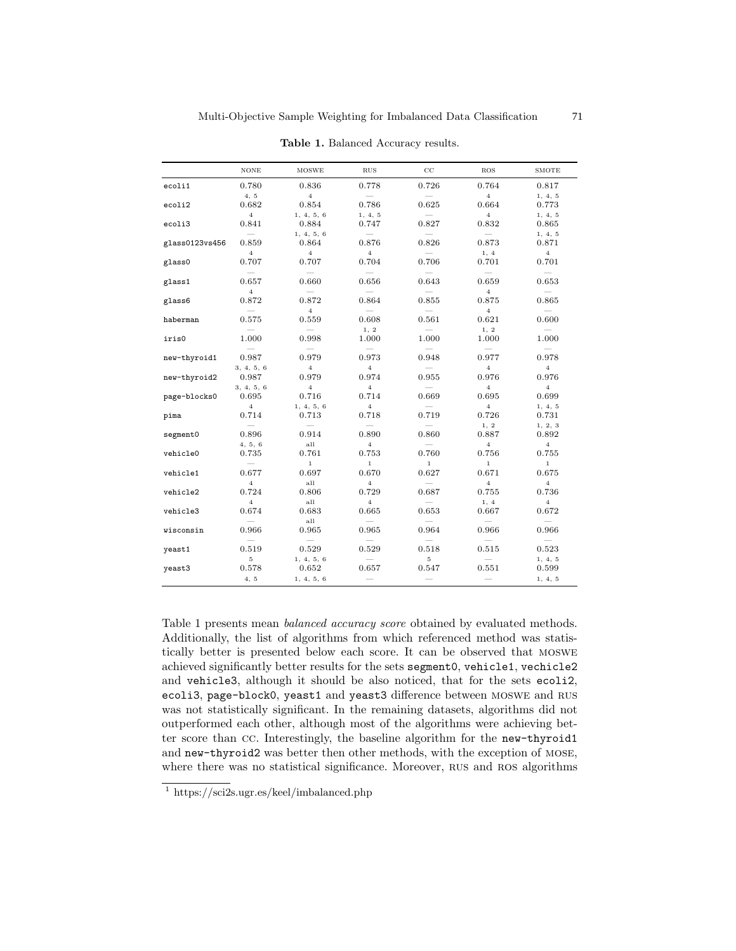|                | <b>NONE</b>             | <b>MOSWE</b>             | <b>RUS</b>              | $_{\rm CC}$              | ROS                      | SMOTE                    |
|----------------|-------------------------|--------------------------|-------------------------|--------------------------|--------------------------|--------------------------|
| ecoli1         | 0.780                   | 0.836                    | 0.778                   | 0.726                    | 0.764                    | 0.817                    |
|                | 4, 5                    | $\overline{4}$           |                         |                          | $\overline{4}$           | 1, 4, 5                  |
| ecoli2         | 0.682                   | 0.854                    | 0.786                   | 0.625                    | 0.664                    | 0.773                    |
|                | $\bf{4}$                | 1, 4, 5, 6               | 1, 4, 5                 |                          | $\overline{4}$           | 1, 4, 5                  |
| ecoli3         | 0.841                   | 0.884                    | 0.747                   | 0.827                    | 0.832                    | 0.865                    |
|                | $\frac{1}{2}$           | 1, 4, 5, 6               |                         |                          | $\qquad \qquad -$        | 1, 4, 5                  |
| glass0123vs456 | 0.859                   | 0.864                    | 0.876                   | 0.826                    | 0.873                    | 0.871                    |
| glass0         | $\overline{4}$<br>0.707 | $\overline{4}$<br>0.707  | $\overline{4}$<br>0.704 | 0.706                    | 1, 4<br>0.701            | $\overline{4}$<br>0.701  |
|                |                         |                          |                         |                          | $\overline{\phantom{m}}$ |                          |
| glass1         | 0.657                   | 0.660                    | 0.656                   | 0.643                    | 0.659                    | 0.653                    |
|                | $\overline{4}$          |                          |                         |                          | $\overline{4}$           |                          |
| glass6         | 0.872                   | 0.872                    | 0.864                   | 0.855                    | 0.875                    | 0.865                    |
|                |                         | $\overline{\mathbf{4}}$  |                         |                          | $\overline{4}$           |                          |
| haberman       | 0.575                   | 0.559                    | 0.608                   | 0.561                    | 0.621                    | 0.600                    |
|                |                         |                          | 1, 2                    |                          | 1, 2                     |                          |
| iris0          | 1.000                   | 0.998                    | 1.000                   | 1.000                    | 1.000                    | 1.000                    |
|                |                         | $\overline{\phantom{0}}$ |                         |                          | $\frac{1}{2}$            | $\overline{\phantom{a}}$ |
| new-thyroid1   | 0.987                   | 0.979                    | $_{0.973}$              | 0.948                    | 0.977                    | 0.978                    |
|                | 3, 4, 5, 6              | $\overline{4}$           | $\overline{4}$          | $\overline{\phantom{m}}$ | $\overline{4}$           | $\overline{4}$           |
| new-thyroid2   | 0.987                   | 0.979                    | 0.974                   | 0.955                    | 0.976                    | 0.976                    |
|                | 3, 4, 5, 6              | $\overline{4}$           | $\overline{4}$          |                          | $\overline{4}$           | $\overline{4}$           |
| page-blocks0   | 0.695                   | 0.716                    | 0.714                   | 0.669                    | 0.695                    | 0.699                    |
|                | $\overline{4}$          | 1, 4, 5, 6               | $\overline{4}$          |                          | $\overline{4}$           | 1, 4, 5                  |
| pima           | 0.714                   | 0.713                    | 0.718                   | 0.719                    | 0.726                    | 0.731                    |
|                | $\frac{1}{2}$           | $\overline{\phantom{0}}$ | $\equiv$                |                          | $1, 2$                   | 1, 2, 3                  |
| segment0       | 0.896                   | 0.914                    | 0.890                   | 0.860                    | 0.887                    | $_{0.892}$               |
|                | 4, 5, 6                 | $\operatorname{all}$     | $\overline{4}$          | $\overline{\phantom{m}}$ | $\overline{4}$           | $\overline{4}$           |
| vehicle0       | 0.735                   | 0.761                    | 0.753                   | 0.760                    | 0.756                    | 0.755                    |
| vehicle1       | 0.677                   | $1\,$<br>0.697           | $\,1\,$<br>0.670        | $\mathbf{1}$<br>0.627    | $1\,$<br>0.671           | $\mathbf{1}$<br>0.675    |
|                | $\overline{4}$          | all                      | $\overline{4}$          |                          | $\overline{4}$           | $\overline{4}$           |
| vehicle2       | 0.724                   | 0.806                    | 0.729                   | 0.687                    | 0.755                    | 0.736                    |
|                | $\overline{4}$          | all                      | $\overline{4}$          |                          | 1, 4                     | $\overline{4}$           |
| vehicle3       | 0.674                   | 0.683                    | 0.665                   | 0.653                    | 0.667                    | 0.672                    |
|                |                         | all                      |                         |                          |                          |                          |
| wisconsin      | 0.966                   | 0.965                    | 0.965                   | 0.964                    | 0.966                    | 0.966                    |
|                |                         | $\overline{\phantom{0}}$ |                         |                          |                          |                          |
| yeast1         | 0.519                   | 0.529                    | 0.529                   | 0.518                    | 0.515                    | 0.523                    |
|                | 5                       | 1, 4, 5, 6               |                         | $\,$ 5 $\,$              |                          | 1, 4, 5                  |
| yeast3         | 0.578                   | 0.652                    | 0.657                   | 0.547                    | 0.551                    | 0.599                    |
|                | 4, 5                    | 1, 4, 5, 6               |                         |                          |                          | 1, 4, 5                  |

Table 1. Balanced Accuracy results.

Table 1 presents mean balanced accuracy score obtained by evaluated methods. Additionally, the list of algorithms from which referenced method was statistically better is presented below each score. It can be observed that moswe achieved significantly better results for the sets segment0, vehicle1, vechicle2 and vehicle3, although it should be also noticed, that for the sets ecoli2, ecoli3, page-block0, yeast1 and yeast3 difference between moswe and rus was not statistically significant. In the remaining datasets, algorithms did not outperformed each other, although most of the algorithms were achieving better score than cc. Interestingly, the baseline algorithm for the new-thyroid1 and new-thyroid2 was better then other methods, with the exception of mose, where there was no statistical significance. Moreover, RUS and ROS algorithms

<sup>1</sup> https://sci2s.ugr.es/keel/imbalanced.php